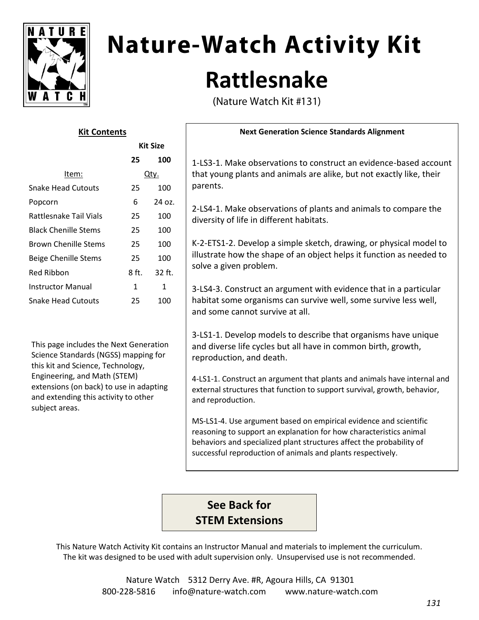

# **Nature-Watch Activity Kit Rattlesnake**

(Nature Watch Kit #131)

| גונ כטוונכוונ               |                 |        |
|-----------------------------|-----------------|--------|
|                             | <b>Kit Size</b> |        |
|                             | 25              | 100    |
| Item:                       | Qty.            |        |
| Snake Head Cutouts          | 25              | 100    |
| Popcorn                     | 6               | 24 oz. |
| Rattlesnake Tail Vials      | 25              | 100    |
| <b>Black Chenille Stems</b> | 25              | 100    |
| <b>Brown Chenille Stems</b> | 25              | 100    |
| Beige Chenille Stems        | 25              | 100    |
| Red Ribbon                  | $8$ ft.         | 32 ft. |
| Instructor Manual           | 1               | 1      |
| Snake Head Cutouts          | 25              | 100    |
|                             |                 |        |

**Kit Contents**

This page includes the Next Generation Science Standards (NGSS) mapping for this kit and Science, Technology, Engineering, and Math (STEM) extensions (on back) to use in adapting and extending this activity to other subject areas.

#### **Next Generation Science Standards Alignment**

1-LS3-1. Make observations to construct an evidence-based account that young plants and animals are alike, but not exactly like, their parents.

2-LS4-1. Make observations of plants and animals to compare the diversity of life in different habitats.

K-2-ETS1-2. Develop a simple sketch, drawing, or physical model to illustrate how the shape of an object helps it function as needed to solve a given problem.

3-LS4-3. Construct an argument with evidence that in a particular habitat some organisms can survive well, some survive less well, and some cannot survive at all.

3-LS1-1. Develop models to describe that organisms have unique and diverse life cycles but all have in common birth, growth, reproduction, and death.

4-LS1-1. Construct an argument that plants and animals have internal and external structures that function to support survival, growth, behavior, and reproduction.

MS-LS1-4. Use argument based on empirical evidence and scientific reasoning to support an explanation for how characteristics animal behaviors and specialized plant structures affect the probability of successful reproduction of animals and plants respectively.

# **See Back for STEM Extensions**

This Nature Watch Activity Kit contains an Instructor Manual and materials to implement the curriculum. The kit was designed to be used with adult supervision only. Unsupervised use is not recommended.